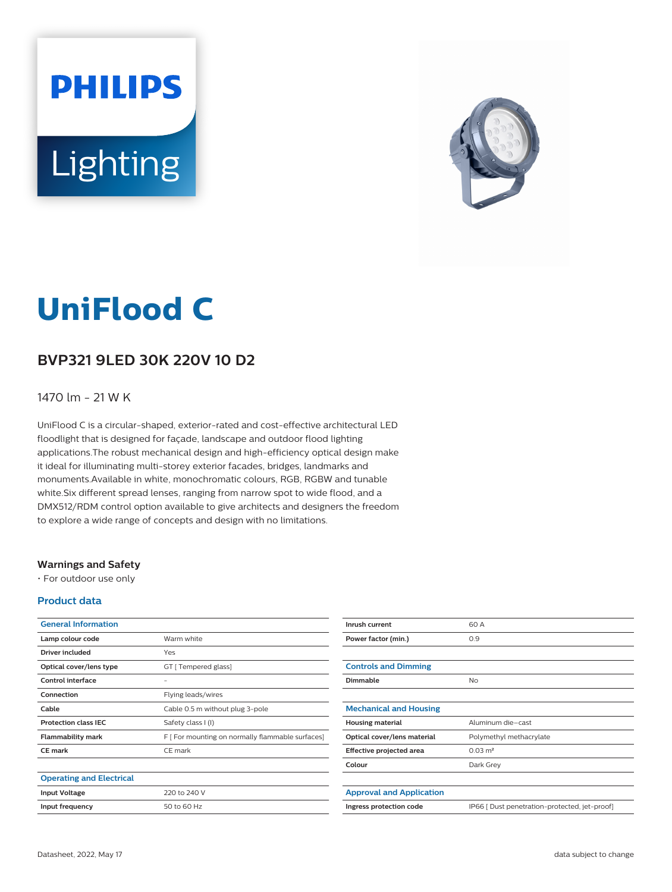# **PHILIPS** Lighting



# **UniFlood C**

# **BVP321 9LED 30K 220V 10 D2**

#### 1470 lm - 21 W K

UniFlood C is a circular-shaped, exterior-rated and cost-effective architectural LED floodlight that is designed for façade, landscape and outdoor flood lighting applications.The robust mechanical design and high-efficiency optical design make it ideal for illuminating multi-storey exterior facades, bridges, landmarks and monuments.Available in white, monochromatic colours, RGB, RGBW and tunable white.Six different spread lenses, ranging from narrow spot to wide flood, and a DMX512/RDM control option available to give architects and designers the freedom to explore a wide range of concepts and design with no limitations.

#### **Warnings and Safety**

• For outdoor use only

#### **Product data**

| <b>General Information</b>      |                                                  |
|---------------------------------|--------------------------------------------------|
| Lamp colour code                | Warm white                                       |
| Driver included                 | Yes                                              |
| Optical cover/lens type         | GT [ Tempered glass]                             |
| Control interface               | -                                                |
| Connection                      | Flying leads/wires                               |
| Cable                           | Cable 0.5 m without plug 3-pole                  |
| <b>Protection class IEC</b>     | Safety class I (I)                               |
| <b>Flammability mark</b>        | F [ For mounting on normally flammable surfaces] |
| <b>CE</b> mark                  | CE mark                                          |
|                                 |                                                  |
| <b>Operating and Electrical</b> |                                                  |
| <b>Input Voltage</b>            | 220 to 240 V                                     |
| Input frequency                 | 50 to 60 Hz                                      |

| Inrush current                  | 60 A                                          |
|---------------------------------|-----------------------------------------------|
| Power factor (min.)             | 0.9                                           |
|                                 |                                               |
| <b>Controls and Dimming</b>     |                                               |
| Dimmable                        | No                                            |
|                                 |                                               |
| <b>Mechanical and Housing</b>   |                                               |
| <b>Housing material</b>         | Aluminum die-cast                             |
| Optical cover/lens material     | Polymethyl methacrylate                       |
| Effective projected area        | $0.03 \text{ m}^2$                            |
| Colour                          | Dark Grey                                     |
|                                 |                                               |
| <b>Approval and Application</b> |                                               |
| Ingress protection code         | IP66 [ Dust penetration-protected, jet-proof] |
|                                 |                                               |